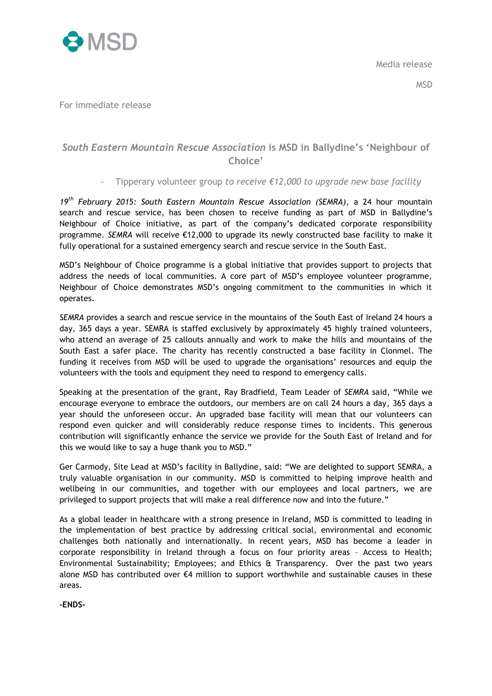

For immediate release

# *South Eastern Mountain Rescue Association* **is MSD in Ballydine's 'Neighbour of Choice'**

## - Tipperary volunteer group *to receive €12,000 to upgrade new base facility*

*19th February 2015: South Eastern Mountain Rescue Association (SEMRA)*, a 24 hour mountain search and rescue service, has been chosen to receive funding as part of MSD in Ballydine's Neighbour of Choice initiative, as part of the company's dedicated corporate responsibility programme. *SEMRA* will receive €12,000 to upgrade its newly constructed base facility to make it fully operational for a sustained emergency search and rescue service in the South East.

MSD's Neighbour of Choice programme is a global initiative that provides support to projects that address the needs of local communities. A core part of MSD's employee volunteer programme, Neighbour of Choice demonstrates MSD's ongoing commitment to the communities in which it operates.

*SEMRA* provides a search and rescue service in the mountains of the South East of Ireland 24 hours a day, 365 days a year. SEMRA is staffed exclusively by approximately 45 highly trained volunteers, who attend an average of 25 callouts annually and work to make the hills and mountains of the South East a safer place. The charity has recently constructed a base facility in Clonmel. The funding it receives from MSD will be used to upgrade the organisations' resources and equip the volunteers with the tools and equipment they need to respond to emergency calls.

Speaking at the presentation of the grant, Ray Bradfield, Team Leader of *SEMRA* said, "While we encourage everyone to embrace the outdoors, our members are on call 24 hours a day, 365 days a year should the unforeseen occur. An upgraded base facility will mean that our volunteers can respond even quicker and will considerably reduce response times to incidents. This generous contribution will significantly enhance the service we provide for the South East of Ireland and for this we would like to say a huge thank you to MSD."

Ger Carmody, Site Lead at MSD's facility in Ballydine, said: "We are delighted to support SEMRA, a truly valuable organisation in our community. MSD is committed to helping improve health and wellbeing in our communities, and together with our employees and local partners, we are privileged to support projects that will make a real difference now and into the future."

As a global leader in healthcare with a strong presence in Ireland, MSD is committed to leading in the implementation of best practice by addressing critical social, environmental and economic challenges both nationally and internationally. In recent years, MSD has become a leader in corporate responsibility in Ireland through a focus on four priority areas – Access to Health; Environmental Sustainability; Employees; and Ethics & Transparency. Over the past two years alone MSD has contributed over  $\epsilon$ 4 million to support worthwhile and sustainable causes in these areas.

**-ENDS-**